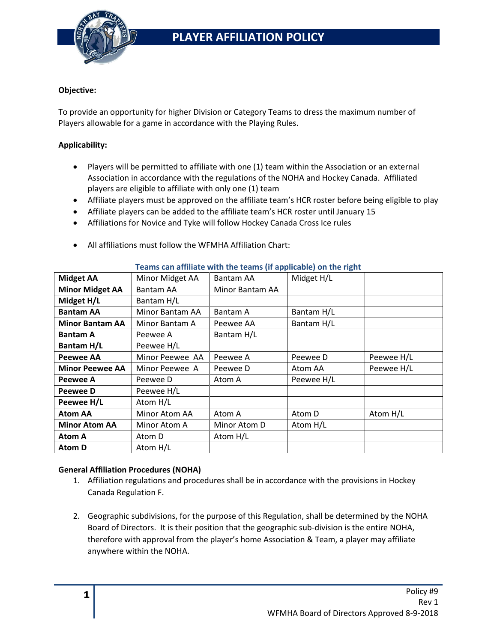

### **Objective:**

To provide an opportunity for higher Division or Category Teams to dress the maximum number of Players allowable for a game in accordance with the Playing Rules.

### **Applicability:**

- Players will be permitted to affiliate with one (1) team within the Association or an external Association in accordance with the regulations of the NOHA and Hockey Canada. Affiliated players are eligible to affiliate with only one (1) team
- Affiliate players must be approved on the affiliate team's HCR roster before being eligible to play
- Affiliate players can be added to the affiliate team's HCR roster until January 15
- Affiliations for Novice and Tyke will follow Hockey Canada Cross Ice rules
- All affiliations must follow the WFMHA Affiliation Chart:

| <b>I callis can anniate with the teams in applicable, on the right</b> |                 |                 |            |            |
|------------------------------------------------------------------------|-----------------|-----------------|------------|------------|
| <b>Midget AA</b>                                                       | Minor Midget AA | Bantam AA       | Midget H/L |            |
| <b>Minor Midget AA</b>                                                 | Bantam AA       | Minor Bantam AA |            |            |
| Midget H/L                                                             | Bantam H/L      |                 |            |            |
| <b>Bantam AA</b>                                                       | Minor Bantam AA | Bantam A        | Bantam H/L |            |
| <b>Minor Bantam AA</b>                                                 | Minor Bantam A  | Peewee AA       | Bantam H/L |            |
| <b>Bantam A</b>                                                        | Peewee A        | Bantam H/L      |            |            |
| Bantam H/L                                                             | Peewee H/L      |                 |            |            |
| <b>Peewee AA</b>                                                       | Minor Peewee AA | Peewee A        | Peewee D   | Peewee H/L |
| <b>Minor Peewee AA</b>                                                 | Minor Peewee A  | Peewee D        | Atom AA    | Peewee H/L |
| Peewee A                                                               | Peewee D        | Atom A          | Peewee H/L |            |
| Peewee D                                                               | Peewee H/L      |                 |            |            |
| Peewee H/L                                                             | Atom H/L        |                 |            |            |
| <b>Atom AA</b>                                                         | Minor Atom AA   | Atom A          | Atom D     | Atom H/L   |
| <b>Minor Atom AA</b>                                                   | Minor Atom A    | Minor Atom D    | Atom H/L   |            |
| Atom A                                                                 | Atom D          | Atom H/L        |            |            |
| <b>Atom D</b>                                                          | Atom H/L        |                 |            |            |

### **Teams can affiliate with the teams (if applicable) on the right**

#### **General Affiliation Procedures (NOHA)**

- 1. Affiliation regulations and procedures shall be in accordance with the provisions in Hockey Canada Regulation F.
- 2. Geographic subdivisions, for the purpose of this Regulation, shall be determined by the NOHA Board of Directors. It is their position that the geographic sub-division is the entire NOHA, therefore with approval from the player's home Association & Team, a player may affiliate anywhere within the NOHA.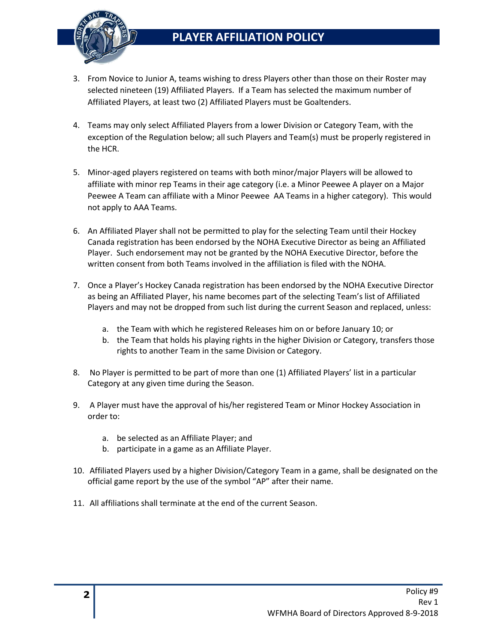# **PLAYER AFFILIATION POLICY**



- 3. From Novice to Junior A, teams wishing to dress Players other than those on their Roster may selected nineteen (19) Affiliated Players. If a Team has selected the maximum number of Affiliated Players, at least two (2) Affiliated Players must be Goaltenders.
- 4. Teams may only select Affiliated Players from a lower Division or Category Team, with the exception of the Regulation below; all such Players and Team(s) must be properly registered in the HCR.
- 5. Minor-aged players registered on teams with both minor/major Players will be allowed to affiliate with minor rep Teams in their age category (i.e. a Minor Peewee A player on a Major Peewee A Team can affiliate with a Minor Peewee AA Teams in a higher category). This would not apply to AAA Teams.
- 6. An Affiliated Player shall not be permitted to play for the selecting Team until their Hockey Canada registration has been endorsed by the NOHA Executive Director as being an Affiliated Player. Such endorsement may not be granted by the NOHA Executive Director, before the written consent from both Teams involved in the affiliation is filed with the NOHA.
- 7. Once a Player's Hockey Canada registration has been endorsed by the NOHA Executive Director as being an Affiliated Player, his name becomes part of the selecting Team's list of Affiliated Players and may not be dropped from such list during the current Season and replaced, unless:
	- a. the Team with which he registered Releases him on or before January 10; or
	- b. the Team that holds his playing rights in the higher Division or Category, transfers those rights to another Team in the same Division or Category.
- 8. No Player is permitted to be part of more than one (1) Affiliated Players' list in a particular Category at any given time during the Season.
- 9. A Player must have the approval of his/her registered Team or Minor Hockey Association in order to:
	- a. be selected as an Affiliate Player; and
	- b. participate in a game as an Affiliate Player.
- 10. Affiliated Players used by a higher Division/Category Team in a game, shall be designated on the official game report by the use of the symbol "AP" after their name.
- 11. All affiliations shall terminate at the end of the current Season.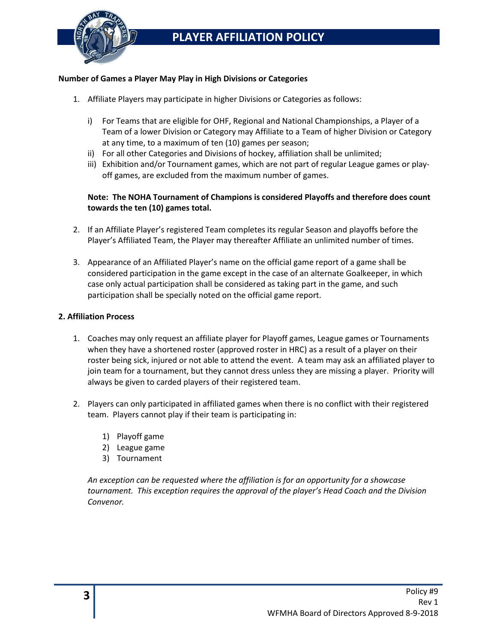

### **Number of Games a Player May Play in High Divisions or Categories**

- 1. Affiliate Players may participate in higher Divisions or Categories as follows:
	- i) For Teams that are eligible for OHF, Regional and National Championships, a Player of a Team of a lower Division or Category may Affiliate to a Team of higher Division or Category at any time, to a maximum of ten (10) games per season;
	- ii) For all other Categories and Divisions of hockey, affiliation shall be unlimited;
	- iii) Exhibition and/or Tournament games, which are not part of regular League games or playoff games, are excluded from the maximum number of games.

## **Note: The NOHA Tournament of Champions is considered Playoffs and therefore does count towards the ten (10) games total.**

- 2. If an Affiliate Player's registered Team completes its regular Season and playoffs before the Player's Affiliated Team, the Player may thereafter Affiliate an unlimited number of times.
- 3. Appearance of an Affiliated Player's name on the official game report of a game shall be considered participation in the game except in the case of an alternate Goalkeeper, in which case only actual participation shall be considered as taking part in the game, and such participation shall be specially noted on the official game report.

### **2. Affiliation Process**

- 1. Coaches may only request an affiliate player for Playoff games, League games or Tournaments when they have a shortened roster (approved roster in HRC) as a result of a player on their roster being sick, injured or not able to attend the event. A team may ask an affiliated player to join team for a tournament, but they cannot dress unless they are missing a player. Priority will always be given to carded players of their registered team.
- 2. Players can only participated in affiliated games when there is no conflict with their registered team. Players cannot play if their team is participating in:
	- 1) Playoff game
	- 2) League game
	- 3) Tournament

*An exception can be requested where the affiliation is for an opportunity for a showcase tournament. This exception requires the approval of the player's Head Coach and the Division Convenor.*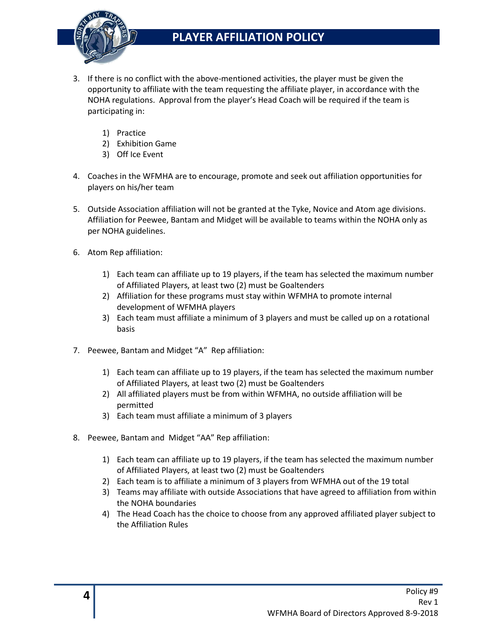

## **PLAYER AFFILIATION POLICY**

- 3. If there is no conflict with the above-mentioned activities, the player must be given the opportunity to affiliate with the team requesting the affiliate player, in accordance with the NOHA regulations. Approval from the player's Head Coach will be required if the team is participating in:
	- 1) Practice
	- 2) Exhibition Game
	- 3) Off Ice Event
- 4. Coaches in the WFMHA are to encourage, promote and seek out affiliation opportunities for players on his/her team
- 5. Outside Association affiliation will not be granted at the Tyke, Novice and Atom age divisions. Affiliation for Peewee, Bantam and Midget will be available to teams within the NOHA only as per NOHA guidelines.
- 6. Atom Rep affiliation:
	- 1) Each team can affiliate up to 19 players, if the team has selected the maximum number of Affiliated Players, at least two (2) must be Goaltenders
	- 2) Affiliation for these programs must stay within WFMHA to promote internal development of WFMHA players
	- 3) Each team must affiliate a minimum of 3 players and must be called up on a rotational basis
- 7. Peewee, Bantam and Midget "A" Rep affiliation:
	- 1) Each team can affiliate up to 19 players, if the team has selected the maximum number of Affiliated Players, at least two (2) must be Goaltenders
	- 2) All affiliated players must be from within WFMHA, no outside affiliation will be permitted
	- 3) Each team must affiliate a minimum of 3 players
- 8. Peewee, Bantam and Midget "AA" Rep affiliation:
	- 1) Each team can affiliate up to 19 players, if the team has selected the maximum number of Affiliated Players, at least two (2) must be Goaltenders
	- 2) Each team is to affiliate a minimum of 3 players from WFMHA out of the 19 total
	- 3) Teams may affiliate with outside Associations that have agreed to affiliation from within the NOHA boundaries
	- 4) The Head Coach has the choice to choose from any approved affiliated player subject to the Affiliation Rules